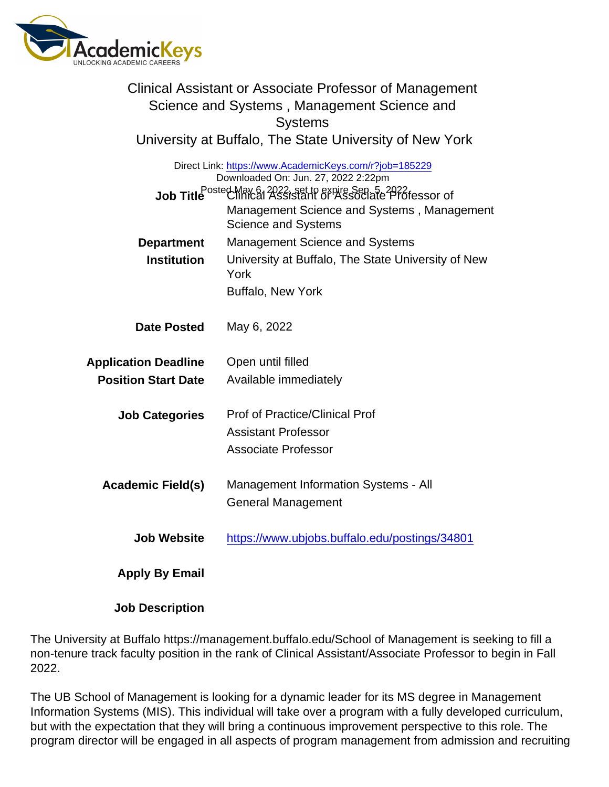|                             | Clinical Assistant or Associate Professor of Management<br>Science and Systems, Management Science and<br><b>Systems</b>                                                                                                                      |
|-----------------------------|-----------------------------------------------------------------------------------------------------------------------------------------------------------------------------------------------------------------------------------------------|
|                             | University at Buffalo, The State University of New York                                                                                                                                                                                       |
|                             | Direct Link: https://www.AcademicKeys.com/r?job=185229<br>Downloaded On: Jun. 27, 2022 2:22pm<br>Job Title Posted May 61 2022; set to expire Sep 5-2022 fessor of<br>Management Science and Systems, Management<br><b>Science and Systems</b> |
| Department                  | <b>Management Science and Systems</b>                                                                                                                                                                                                         |
| Institution                 | University at Buffalo, The State University of New<br>York                                                                                                                                                                                    |
|                             | <b>Buffalo, New York</b>                                                                                                                                                                                                                      |
| Date Posted                 | May 6, 2022                                                                                                                                                                                                                                   |
| <b>Application Deadline</b> | Open until filled                                                                                                                                                                                                                             |
| <b>Position Start Date</b>  | Available immediately                                                                                                                                                                                                                         |
| <b>Job Categories</b>       | Prof of Practice/Clinical Prof<br><b>Assistant Professor</b><br><b>Associate Professor</b>                                                                                                                                                    |
| Academic Field(s)           | <b>Management Information Systems - All</b><br><b>General Management</b>                                                                                                                                                                      |
| <b>Job Website</b>          | https://www.ubjobs.buffalo.edu/postings/34801                                                                                                                                                                                                 |
| Apply By Email              |                                                                                                                                                                                                                                               |
| <b>Job Description</b>      |                                                                                                                                                                                                                                               |

The University at Buffalo https://management.buffalo.edu/School of Management is seeking to fill a non-tenure track faculty position in the rank of Clinical Assistant/Associate Professor to begin in Fall 2022.

The UB School of Management is looking for a dynamic leader for its MS degree in Management Information Systems (MIS). This individual will take over a program with a fully developed curriculum, but with the expectation that they will bring a continuous improvement perspective to this role. The program director will be engaged in all aspects of program management from admission and recruiting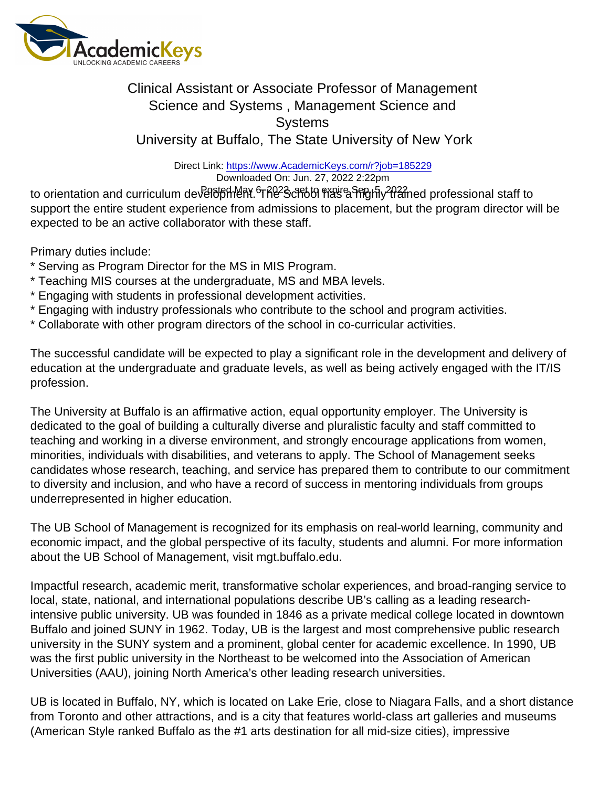## Clinical Assistant or Associate Professor of Management Science and Systems , Management Science and **Systems** University at Buffalo, The State University of New York

Direct Link: <https://www.AcademicKeys.com/r?job=185229> Downloaded On: Jun. 27, 2022 2:22pm

to orientation and curriculum development. The School has a highly trained professional staff to Posted May 6, 2022, set to expire Sep. 5, 2022support the entire student experience from admissions to placement, but the program director will be expected to be an active collaborator with these staff.

Primary duties include:

- \* Serving as Program Director for the MS in MIS Program.
- \* Teaching MIS courses at the undergraduate, MS and MBA levels.
- \* Engaging with students in professional development activities.
- \* Engaging with industry professionals who contribute to the school and program activities.
- \* Collaborate with other program directors of the school in co-curricular activities.

The successful candidate will be expected to play a significant role in the development and delivery of education at the undergraduate and graduate levels, as well as being actively engaged with the IT/IS profession.

The University at Buffalo is an affirmative action, equal opportunity employer. The University is dedicated to the goal of building a culturally diverse and pluralistic faculty and staff committed to teaching and working in a diverse environment, and strongly encourage applications from women, minorities, individuals with disabilities, and veterans to apply. The School of Management seeks candidates whose research, teaching, and service has prepared them to contribute to our commitment to diversity and inclusion, and who have a record of success in mentoring individuals from groups underrepresented in higher education.

The UB School of Management is recognized for its emphasis on real-world learning, community and economic impact, and the global perspective of its faculty, students and alumni. For more information about the UB School of Management, visit mgt.buffalo.edu.

Impactful research, academic merit, transformative scholar experiences, and broad-ranging service to local, state, national, and international populations describe UB's calling as a leading researchintensive public university. UB was founded in 1846 as a private medical college located in downtown Buffalo and joined SUNY in 1962. Today, UB is the largest and most comprehensive public research university in the SUNY system and a prominent, global center for academic excellence. In 1990, UB was the first public university in the Northeast to be welcomed into the Association of American Universities (AAU), joining North America's other leading research universities.

UB is located in Buffalo, NY, which is located on Lake Erie, close to Niagara Falls, and a short distance from Toronto and other attractions, and is a city that features world-class art galleries and museums (American Style ranked Buffalo as the #1 arts destination for all mid-size cities), impressive